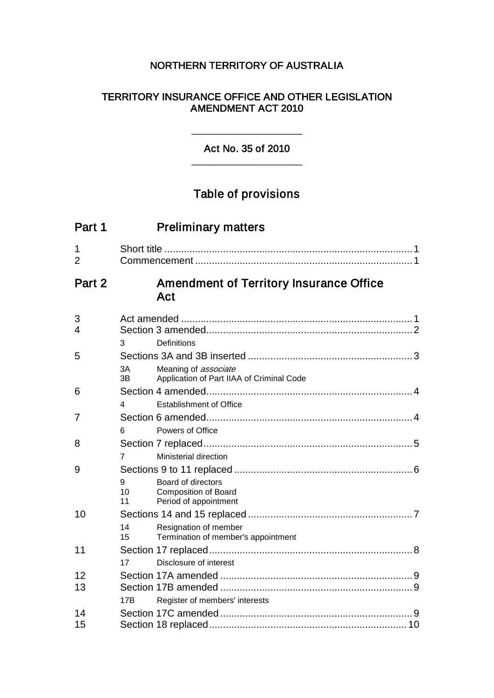## NORTHERN TERRITORY OF AUSTRALIA

### TERRITORY INSURANCE OFFICE AND OTHER LEGISLATION AMENDMENT ACT 2010

Act No. 35 of 2010 \_\_\_\_\_\_\_\_\_\_\_\_\_\_\_\_\_\_\_\_

\_\_\_\_\_\_\_\_\_\_\_\_\_\_\_\_\_\_\_\_

# Table of provisions

| Part 1              | <b>Preliminary matters</b>                                                                  |  |
|---------------------|---------------------------------------------------------------------------------------------|--|
| 1<br>$\overline{2}$ |                                                                                             |  |
| Part 2              | <b>Amendment of Territory Insurance Office</b><br>Act                                       |  |
| 3<br>$\overline{4}$ | 3<br>Definitions                                                                            |  |
| 5                   | 3A<br>Meaning of <i>associate</i><br>3B<br>Application of Part IIAA of Criminal Code        |  |
| 6                   | Establishment of Office<br>4                                                                |  |
| $\overline{7}$      | Powers of Office<br>6                                                                       |  |
| 8                   | Ministerial direction<br>7                                                                  |  |
| 9                   | 9<br>Board of directors<br>10<br><b>Composition of Board</b><br>Period of appointment<br>11 |  |
| 10                  | 14<br>Resignation of member<br>15<br>Termination of member's appointment                    |  |
| 11                  | Disclosure of interest<br>17                                                                |  |
| 12<br>13            | Register of members' interests<br>17 <sub>R</sub>                                           |  |
| 14<br>15            |                                                                                             |  |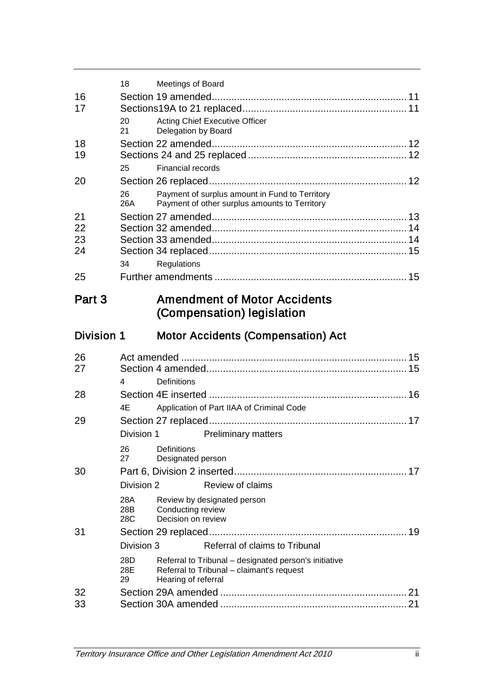|            | 18                | Meetings of Board                   |                                                                                                    |  |
|------------|-------------------|-------------------------------------|----------------------------------------------------------------------------------------------------|--|
| 16<br>17   |                   |                                     |                                                                                                    |  |
|            | 20<br>21          | Delegation by Board                 | <b>Acting Chief Executive Officer</b>                                                              |  |
| 18<br>19   |                   |                                     |                                                                                                    |  |
|            | 25                | <b>Financial records</b>            |                                                                                                    |  |
| 20         |                   |                                     |                                                                                                    |  |
|            | 26<br>26A         |                                     | Payment of surplus amount in Fund to Territory<br>Payment of other surplus amounts to Territory    |  |
| 21         |                   |                                     |                                                                                                    |  |
| 22         |                   |                                     |                                                                                                    |  |
| 23         |                   |                                     |                                                                                                    |  |
| 24         |                   |                                     |                                                                                                    |  |
|            | 34                | Regulations                         |                                                                                                    |  |
| 25         |                   |                                     |                                                                                                    |  |
| Part 3     |                   |                                     | <b>Amendment of Motor Accidents</b><br>(Compensation) legislation                                  |  |
| Division 1 |                   |                                     | <b>Motor Accidents (Compensation) Act</b>                                                          |  |
|            |                   |                                     |                                                                                                    |  |
| 26         |                   |                                     |                                                                                                    |  |
| 27         |                   |                                     |                                                                                                    |  |
|            | 4                 | <b>Definitions</b>                  |                                                                                                    |  |
| 28         |                   |                                     |                                                                                                    |  |
|            | 4E                |                                     | Application of Part IIAA of Criminal Code                                                          |  |
| 29         |                   |                                     |                                                                                                    |  |
|            |                   | Division 1                          | <b>Preliminary matters</b>                                                                         |  |
|            | 27                | 26 Definitions<br>Designated person |                                                                                                    |  |
| 30         |                   |                                     |                                                                                                    |  |
|            | Division 2        |                                     | Review of claims                                                                                   |  |
|            | 28A<br>28B<br>28C | Conducting review                   | Review by designated person                                                                        |  |
|            |                   | Decision on review                  |                                                                                                    |  |
| 31         | Division 3        |                                     | Referral of claims to Tribunal                                                                     |  |
|            | 28D<br>28E<br>29  | Hearing of referral                 | Referral to Tribunal - designated person's initiative<br>Referral to Tribunal - claimant's request |  |
| 32         |                   |                                     |                                                                                                    |  |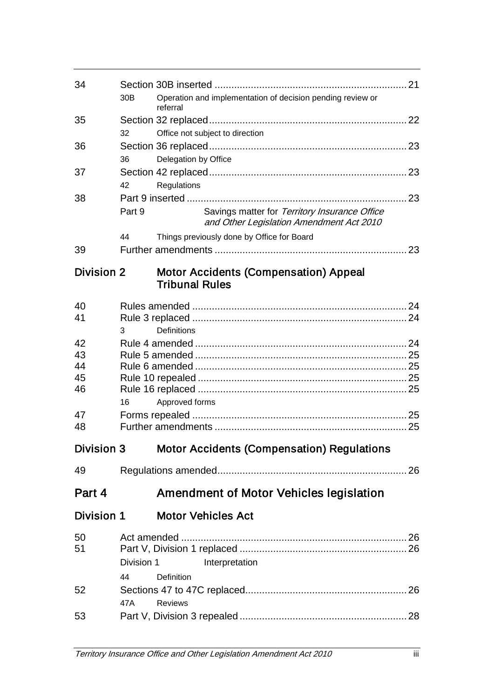| 34                |                 |                                                                                           |  |
|-------------------|-----------------|-------------------------------------------------------------------------------------------|--|
|                   | 30 <sub>B</sub> | Operation and implementation of decision pending review or<br>referral                    |  |
| 35                |                 |                                                                                           |  |
|                   | 32              | Office not subject to direction                                                           |  |
| 36                |                 |                                                                                           |  |
|                   | 36              | Delegation by Office                                                                      |  |
| 37                |                 |                                                                                           |  |
|                   | 42              | Regulations                                                                               |  |
| 38                |                 |                                                                                           |  |
|                   | Part 9          | Savings matter for Territory Insurance Office<br>and Other Legislation Amendment Act 2010 |  |
|                   | 44              | Things previously done by Office for Board                                                |  |
| 39                |                 |                                                                                           |  |
| <b>Division 2</b> |                 | <b>Motor Accidents (Compensation) Appeal</b><br><b>Tribunal Rules</b>                     |  |
| 40                |                 |                                                                                           |  |
| 41                |                 |                                                                                           |  |
|                   | 3               | <b>Definitions</b>                                                                        |  |
| 42                |                 |                                                                                           |  |
| 43                |                 |                                                                                           |  |
| 44                |                 |                                                                                           |  |
| 45                |                 |                                                                                           |  |
| 46                |                 |                                                                                           |  |
| 47                | 16              | Approved forms                                                                            |  |
| 48                |                 |                                                                                           |  |
|                   |                 |                                                                                           |  |
|                   |                 | Division 3 Motor Accidents (Compensation) Regulations                                     |  |
| 49                |                 |                                                                                           |  |
| Part 4            |                 | <b>Amendment of Motor Vehicles legislation</b>                                            |  |
| <b>Division 1</b> |                 | <b>Motor Vehicles Act</b>                                                                 |  |
| 50                |                 |                                                                                           |  |
| 51                |                 |                                                                                           |  |
|                   | Division 1      | Interpretation                                                                            |  |
|                   | 44              | Definition                                                                                |  |
| 52                |                 |                                                                                           |  |
|                   | 47A             | <b>Reviews</b>                                                                            |  |
| 53                |                 |                                                                                           |  |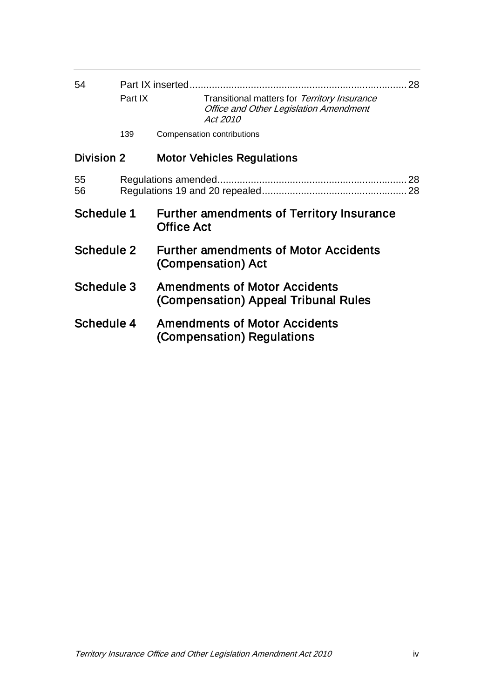| 54         |         | Part IX inserted                                                                                          | 28 |  |
|------------|---------|-----------------------------------------------------------------------------------------------------------|----|--|
|            | Part IX | Transitional matters for Territory Insurance<br><b>Office and Other Legislation Amendment</b><br>Act 2010 |    |  |
|            | 139     | Compensation contributions                                                                                |    |  |
| Division 2 |         | <b>Motor Vehicles Regulations</b>                                                                         |    |  |
| 55<br>56   |         | 28<br>Regulations amended.<br>28                                                                          |    |  |
| Schedule 1 |         | <b>Further amendments of Territory Insurance</b><br><b>Office Act</b>                                     |    |  |
| Schedule 2 |         | <b>Further amendments of Motor Accidents</b><br>(Compensation) Act                                        |    |  |
| Schedule 3 |         | <b>Amendments of Motor Accidents</b><br>(Compensation) Appeal Tribunal Rules                              |    |  |
| Schedule 4 |         | <b>Amendments of Motor Accidents</b><br>(Compensation) Regulations                                        |    |  |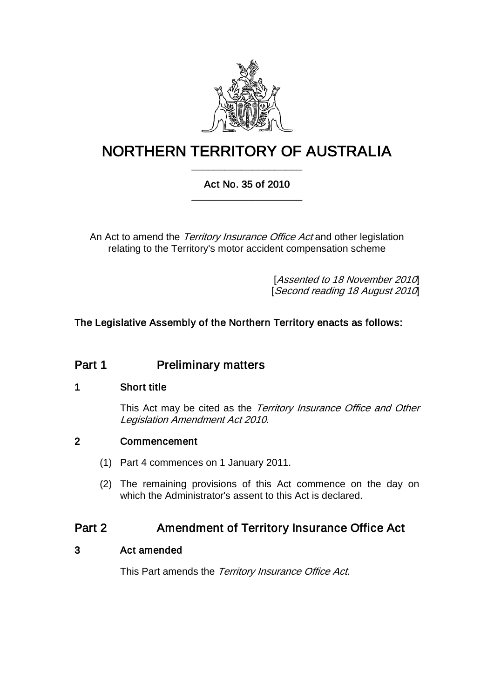

# NORTHERN TERRITORY OF AUSTRALIA \_\_\_\_\_\_\_\_\_\_\_\_\_\_\_\_\_\_\_\_

## Act No. 35 of 2010 \_\_\_\_\_\_\_\_\_\_\_\_\_\_\_\_\_\_\_\_

An Act to amend the Territory Insurance Office Act and other legislation relating to the Territory's motor accident compensation scheme

> [Assented to 18 November 2010] [Second reading 18 August 2010]

## The Legislative Assembly of the Northern Territory enacts as follows:

# Part 1 Preliminary matters

### 1 Short title

This Act may be cited as the Territory Insurance Office and Other Legislation Amendment Act 2010.

## 2 Commencement

- (1) Part 4 commences on 1 January 2011.
- (2) The remaining provisions of this Act commence on the day on which the Administrator's assent to this Act is declared.

## Part 2 **Amendment of Territory Insurance Office Act**

### 3 Act amended

This Part amends the Territory Insurance Office Act.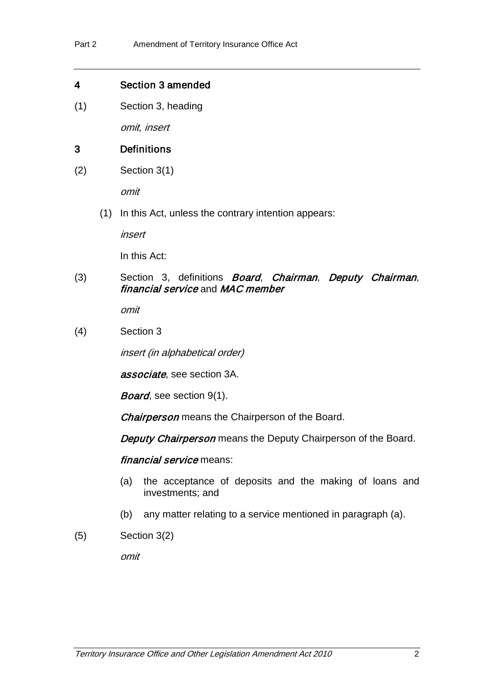#### 4 Section 3 amended

(1) Section 3, heading

omit, insert

### 3 Definitions

(2) Section 3(1)

omit

(1) In this Act, unless the contrary intention appears:

insert

In this Act:

(3) Section 3, definitions Board, Chairman, Deputy Chairman, financial service and MAC member

omit

(4) Section 3

insert (in alphabetical order)

associate, see section 3A.

Board, see section 9(1).

**Chairperson** means the Chairperson of the Board.

Deputy Chairperson means the Deputy Chairperson of the Board.

financial service means:

- (a) the acceptance of deposits and the making of loans and investments; and
- (b) any matter relating to a service mentioned in paragraph (a).
- (5) Section 3(2)

omit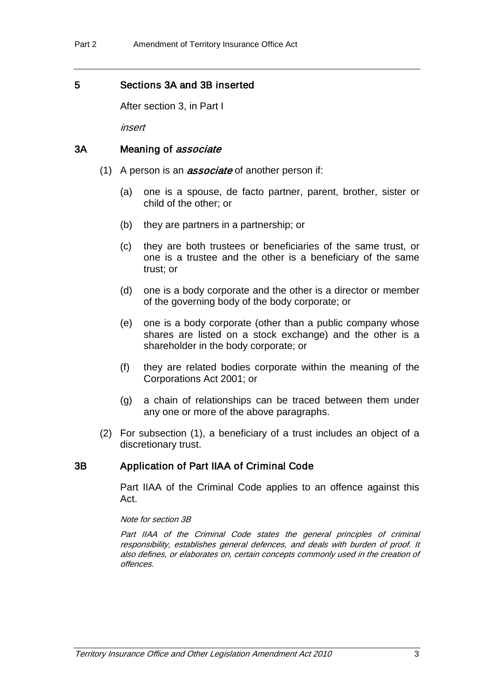#### 5 Sections 3A and 3B inserted

After section 3, in Part I

insert

#### 3A Meaning of *associate*

- (1) A person is an *associate* of another person if:
	- (a) one is a spouse, de facto partner, parent, brother, sister or child of the other; or
	- (b) they are partners in a partnership; or
	- (c) they are both trustees or beneficiaries of the same trust, or one is a trustee and the other is a beneficiary of the same trust; or
	- (d) one is a body corporate and the other is a director or member of the governing body of the body corporate; or
	- (e) one is a body corporate (other than a public company whose shares are listed on a stock exchange) and the other is a shareholder in the body corporate; or
	- (f) they are related bodies corporate within the meaning of the Corporations Act 2001; or
	- (g) a chain of relationships can be traced between them under any one or more of the above paragraphs.
- (2) For subsection (1), a beneficiary of a trust includes an object of a discretionary trust.

#### 3B Application of Part IIAA of Criminal Code

Part IIAA of the Criminal Code applies to an offence against this Act.

#### Note for section 3B

Part IIAA of the Criminal Code states the general principles of criminal responsibility, establishes general defences, and deals with burden of proof. It also defines, or elaborates on, certain concepts commonly used in the creation of offences.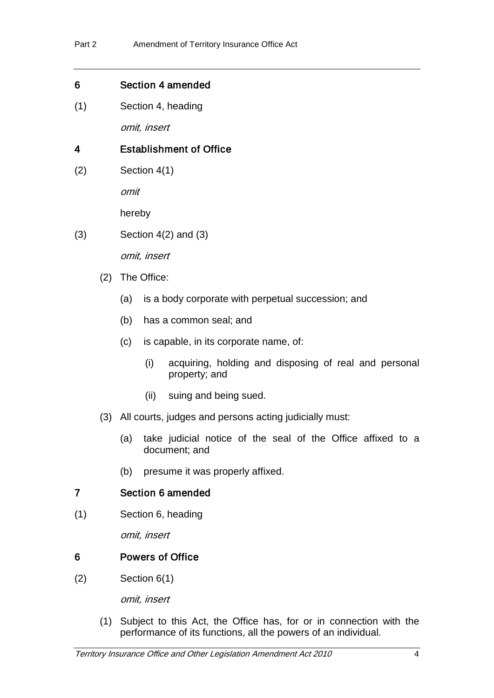#### 6 Section 4 amended

(1) Section 4, heading

omit, insert

## 4 Establishment of Office

(2) Section 4(1)

omit

hereby

(3) Section 4(2) and (3)

omit, insert

- (2) The Office:
	- (a) is a body corporate with perpetual succession; and
	- (b) has a common seal; and
	- (c) is capable, in its corporate name, of:
		- (i) acquiring, holding and disposing of real and personal property; and
		- (ii) suing and being sued.
- (3) All courts, judges and persons acting judicially must:
	- (a) take judicial notice of the seal of the Office affixed to a document; and
	- (b) presume it was properly affixed.

### 7 Section 6 amended

(1) Section 6, heading

omit, insert

### 6 Powers of Office

(2) Section 6(1)

omit, insert

(1) Subject to this Act, the Office has, for or in connection with the performance of its functions, all the powers of an individual.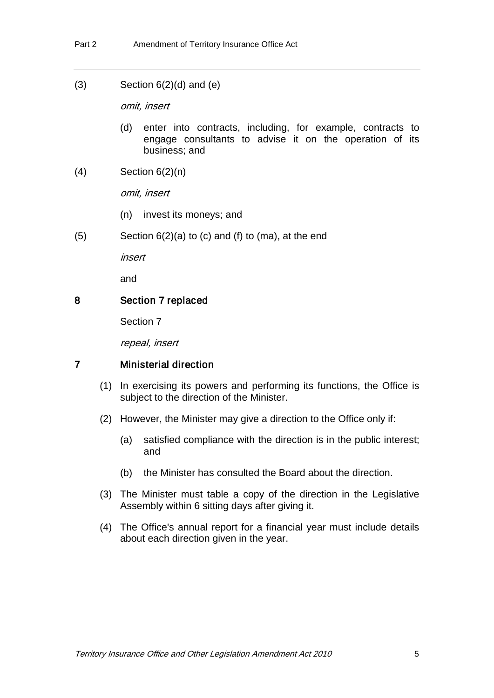(3) Section  $6(2)(d)$  and  $(e)$ 

omit, insert

- (d) enter into contracts, including, for example, contracts to engage consultants to advise it on the operation of its business; and
- $(4)$  Section  $6(2)(n)$

omit, insert

- (n) invest its moneys; and
- (5) Section 6(2)(a) to (c) and (f) to (ma), at the end

insert

and

#### 8 Section 7 replaced

Section 7

repeal, insert

#### 7 Ministerial direction

- (1) In exercising its powers and performing its functions, the Office is subject to the direction of the Minister.
- (2) However, the Minister may give a direction to the Office only if:
	- (a) satisfied compliance with the direction is in the public interest; and
	- (b) the Minister has consulted the Board about the direction.
- (3) The Minister must table a copy of the direction in the Legislative Assembly within 6 sitting days after giving it.
- (4) The Office's annual report for a financial year must include details about each direction given in the year.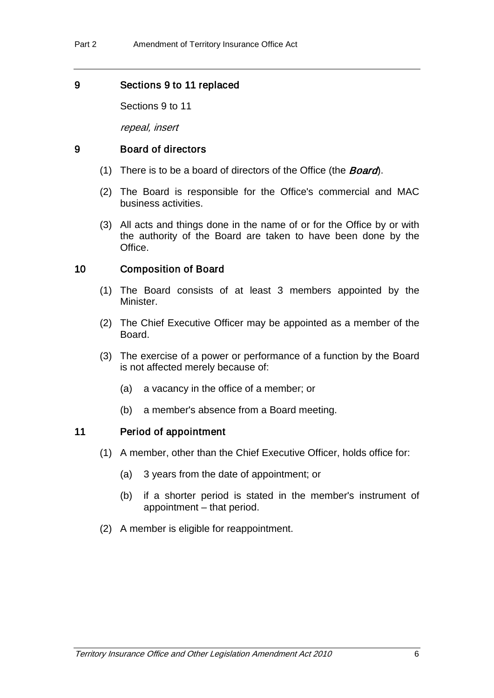### 9 Sections 9 to 11 replaced

Sections 9 to 11

repeal, insert

#### 9 Board of directors

- (1) There is to be a board of directors of the Office (the **Board**).
- (2) The Board is responsible for the Office's commercial and MAC business activities.
- (3) All acts and things done in the name of or for the Office by or with the authority of the Board are taken to have been done by the Office.

### 10 Composition of Board

- (1) The Board consists of at least 3 members appointed by the Minister.
- (2) The Chief Executive Officer may be appointed as a member of the Board.
- (3) The exercise of a power or performance of a function by the Board is not affected merely because of:
	- (a) a vacancy in the office of a member; or
	- (b) a member's absence from a Board meeting.

#### 11 Period of appointment

- (1) A member, other than the Chief Executive Officer, holds office for:
	- (a) 3 years from the date of appointment; or
	- (b) if a shorter period is stated in the member's instrument of appointment – that period.
- (2) A member is eligible for reappointment.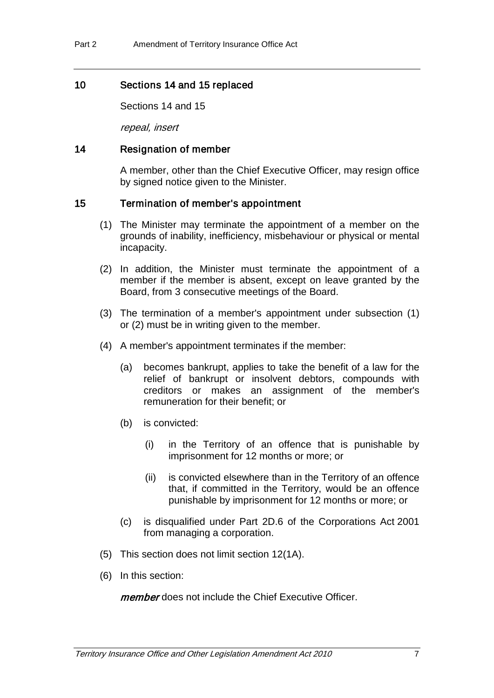### 10 Sections 14 and 15 replaced

Sections 14 and 15

repeal, insert

### 14 Resignation of member

A member, other than the Chief Executive Officer, may resign office by signed notice given to the Minister.

## 15 Termination of member's appointment

- (1) The Minister may terminate the appointment of a member on the grounds of inability, inefficiency, misbehaviour or physical or mental incapacity.
- (2) In addition, the Minister must terminate the appointment of a member if the member is absent, except on leave granted by the Board, from 3 consecutive meetings of the Board.
- (3) The termination of a member's appointment under subsection (1) or (2) must be in writing given to the member.
- (4) A member's appointment terminates if the member:
	- (a) becomes bankrupt, applies to take the benefit of a law for the relief of bankrupt or insolvent debtors, compounds with creditors or makes an assignment of the member's remuneration for their benefit; or
	- (b) is convicted:
		- (i) in the Territory of an offence that is punishable by imprisonment for 12 months or more; or
		- (ii) is convicted elsewhere than in the Territory of an offence that, if committed in the Territory, would be an offence punishable by imprisonment for 12 months or more; or
	- (c) is disqualified under Part 2D.6 of the Corporations Act 2001 from managing a corporation.
- (5) This section does not limit section 12(1A).
- (6) In this section:

member does not include the Chief Executive Officer.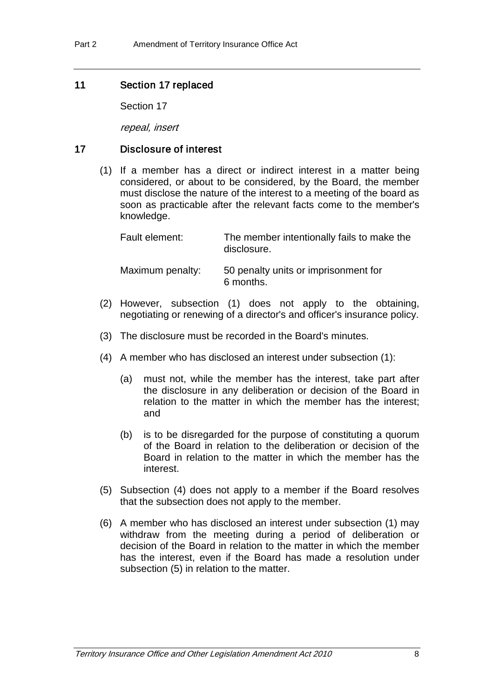#### 11 Section 17 replaced

Section 17

repeal, insert

#### 17 Disclosure of interest

(1) If a member has a direct or indirect interest in a matter being considered, or about to be considered, by the Board, the member must disclose the nature of the interest to a meeting of the board as soon as practicable after the relevant facts come to the member's knowledge.

| Fault element:   | The member intentionally fails to make the<br>disclosure. |
|------------------|-----------------------------------------------------------|
| Maximum penalty: | 50 penalty units or imprisonment for<br>6 months.         |

- (2) However, subsection (1) does not apply to the obtaining, negotiating or renewing of a director's and officer's insurance policy.
- (3) The disclosure must be recorded in the Board's minutes.
- (4) A member who has disclosed an interest under subsection (1):
	- (a) must not, while the member has the interest, take part after the disclosure in any deliberation or decision of the Board in relation to the matter in which the member has the interest; and
	- (b) is to be disregarded for the purpose of constituting a quorum of the Board in relation to the deliberation or decision of the Board in relation to the matter in which the member has the interest.
- (5) Subsection (4) does not apply to a member if the Board resolves that the subsection does not apply to the member.
- (6) A member who has disclosed an interest under subsection (1) may withdraw from the meeting during a period of deliberation or decision of the Board in relation to the matter in which the member has the interest, even if the Board has made a resolution under subsection (5) in relation to the matter.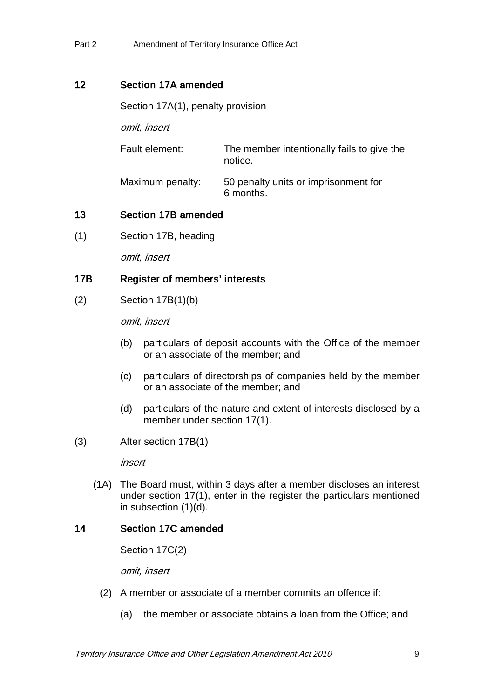## 12 Section 17A amended

Section 17A(1), penalty provision

omit, insert

Fault element: The member intentionally fails to give the notice.

Maximum penalty: 50 penalty units or imprisonment for 6 months.

## 13 Section 17B amended

(1) Section 17B, heading

omit, insert

## 17B Register of members' interests

(2) Section 17B(1)(b)

omit, insert

- (b) particulars of deposit accounts with the Office of the member or an associate of the member; and
- (c) particulars of directorships of companies held by the member or an associate of the member; and
- (d) particulars of the nature and extent of interests disclosed by a member under section 17(1).
- (3) After section 17B(1)

insert

(1A) The Board must, within 3 days after a member discloses an interest under section 17(1), enter in the register the particulars mentioned in subsection (1)(d).

### 14 Section 17C amended

Section 17C(2)

omit, insert

- (2) A member or associate of a member commits an offence if:
	- (a) the member or associate obtains a loan from the Office; and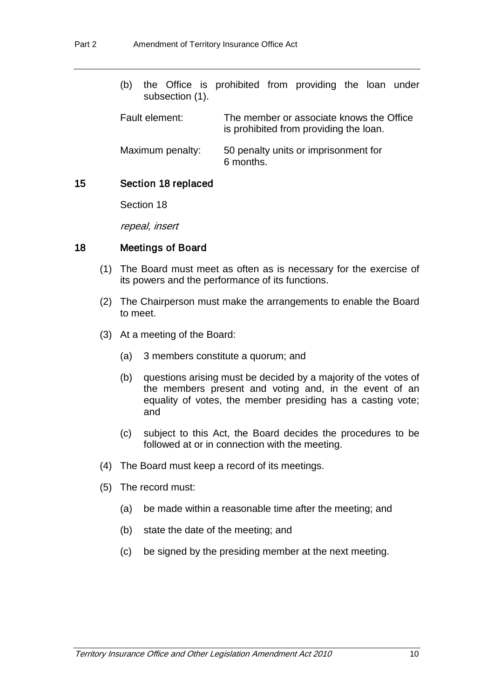| (b)<br>subsection (1). | the Office is prohibited from providing the loan under                             |
|------------------------|------------------------------------------------------------------------------------|
| Fault element:         | The member or associate knows the Office<br>is prohibited from providing the loan. |
| Maximum penalty:       | 50 penalty units or imprisonment for<br>6 months.                                  |

#### 15 Section 18 replaced

Section 18

repeal, insert

#### 18 Meetings of Board

- (1) The Board must meet as often as is necessary for the exercise of its powers and the performance of its functions.
- (2) The Chairperson must make the arrangements to enable the Board to meet.
- (3) At a meeting of the Board:
	- (a) 3 members constitute a quorum; and
	- (b) questions arising must be decided by a majority of the votes of the members present and voting and, in the event of an equality of votes, the member presiding has a casting vote; and
	- (c) subject to this Act, the Board decides the procedures to be followed at or in connection with the meeting.
- (4) The Board must keep a record of its meetings.
- (5) The record must:
	- (a) be made within a reasonable time after the meeting; and
	- (b) state the date of the meeting; and
	- (c) be signed by the presiding member at the next meeting.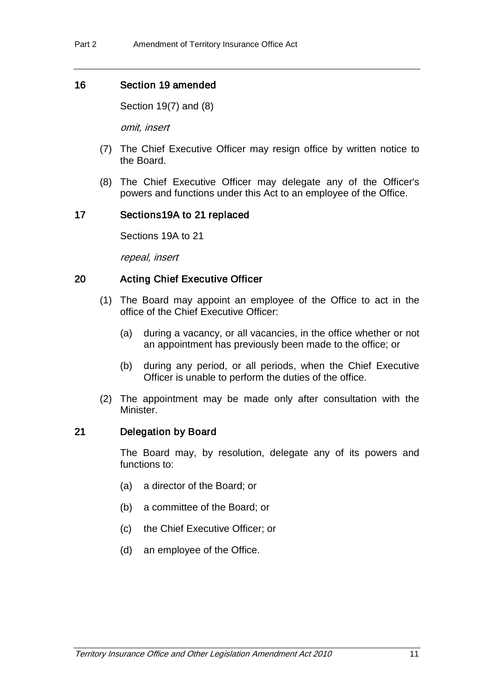### 16 Section 19 amended

Section 19(7) and (8)

omit, insert

- (7) The Chief Executive Officer may resign office by written notice to the Board.
- (8) The Chief Executive Officer may delegate any of the Officer's powers and functions under this Act to an employee of the Office.

## 17 Sections19A to 21 replaced

Sections 19A to 21

repeal, insert

## 20 Acting Chief Executive Officer

- (1) The Board may appoint an employee of the Office to act in the office of the Chief Executive Officer:
	- (a) during a vacancy, or all vacancies, in the office whether or not an appointment has previously been made to the office; or
	- (b) during any period, or all periods, when the Chief Executive Officer is unable to perform the duties of the office.
- (2) The appointment may be made only after consultation with the Minister.

### 21 Delegation by Board

The Board may, by resolution, delegate any of its powers and functions to:

- (a) a director of the Board; or
- (b) a committee of the Board; or
- (c) the Chief Executive Officer; or
- (d) an employee of the Office.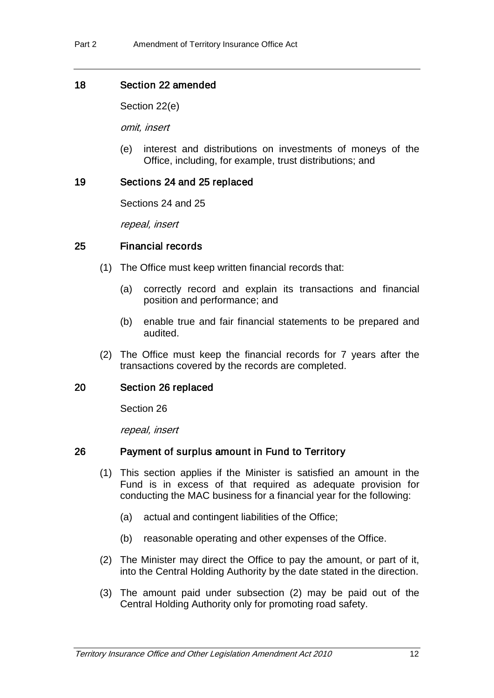### 18 Section 22 amended

Section 22(e)

omit, insert

(e) interest and distributions on investments of moneys of the Office, including, for example, trust distributions; and

### 19 Sections 24 and 25 replaced

Sections 24 and 25

repeal, insert

#### 25 Financial records

- (1) The Office must keep written financial records that:
	- (a) correctly record and explain its transactions and financial position and performance; and
	- (b) enable true and fair financial statements to be prepared and audited.
- (2) The Office must keep the financial records for 7 years after the transactions covered by the records are completed.

#### 20 Section 26 replaced

Section 26

repeal, insert

### 26 Payment of surplus amount in Fund to Territory

- (1) This section applies if the Minister is satisfied an amount in the Fund is in excess of that required as adequate provision for conducting the MAC business for a financial year for the following:
	- (a) actual and contingent liabilities of the Office;
	- (b) reasonable operating and other expenses of the Office.
- (2) The Minister may direct the Office to pay the amount, or part of it, into the Central Holding Authority by the date stated in the direction.
- (3) The amount paid under subsection (2) may be paid out of the Central Holding Authority only for promoting road safety.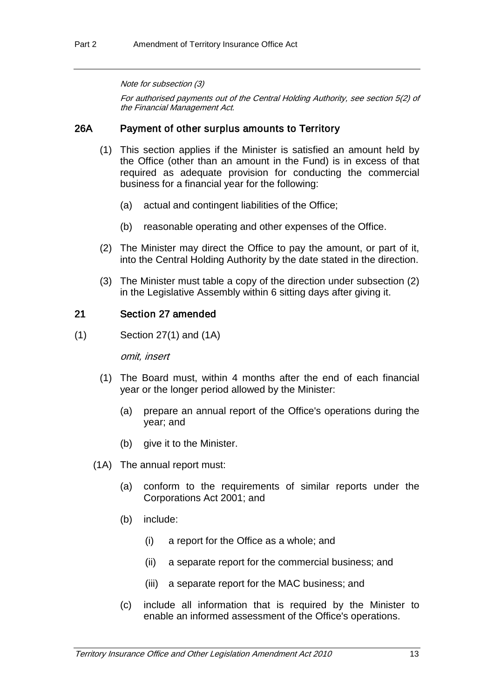#### Note for subsection (3)

For authorised payments out of the Central Holding Authority, see section 5(2) of the Financial Management Act.

#### 26A Payment of other surplus amounts to Territory

- (1) This section applies if the Minister is satisfied an amount held by the Office (other than an amount in the Fund) is in excess of that required as adequate provision for conducting the commercial business for a financial year for the following:
	- (a) actual and contingent liabilities of the Office;
	- (b) reasonable operating and other expenses of the Office.
- (2) The Minister may direct the Office to pay the amount, or part of it, into the Central Holding Authority by the date stated in the direction.
- (3) The Minister must table a copy of the direction under subsection (2) in the Legislative Assembly within 6 sitting days after giving it.

#### 21 Section 27 amended

(1) Section 27(1) and (1A)

omit, insert

- (1) The Board must, within 4 months after the end of each financial year or the longer period allowed by the Minister:
	- (a) prepare an annual report of the Office's operations during the year; and
	- (b) give it to the Minister.
- (1A) The annual report must:
	- (a) conform to the requirements of similar reports under the Corporations Act 2001; and
	- (b) include:
		- (i) a report for the Office as a whole; and
		- (ii) a separate report for the commercial business; and
		- (iii) a separate report for the MAC business; and
	- (c) include all information that is required by the Minister to enable an informed assessment of the Office's operations.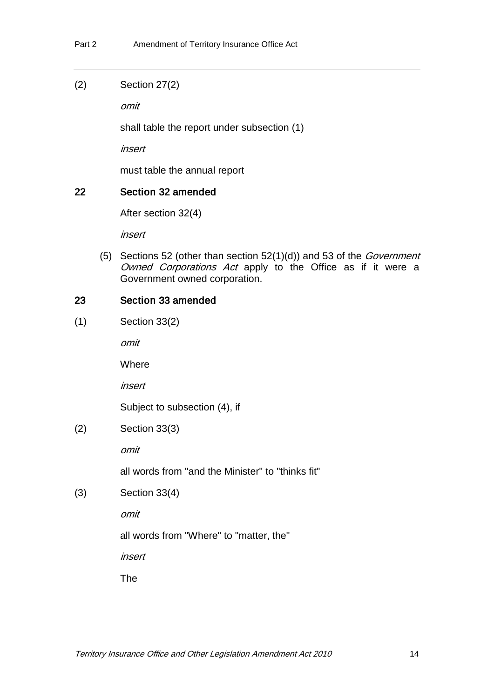(2) Section 27(2)

omit

shall table the report under subsection (1)

insert

must table the annual report

## 22 Section 32 amended

After section 32(4)

insert

(5) Sections 52 (other than section  $52(1)(d)$ ) and 53 of the *Government* Owned Corporations Act apply to the Office as if it were a Government owned corporation.

## 23 Section 33 amended

(1) Section 33(2)

omit

**Where** 

insert

Subject to subsection (4), if

(2) Section 33(3)

omit

all words from "and the Minister" to "thinks fit"

(3) Section 33(4)

omit

all words from "Where" to "matter, the"

insert

The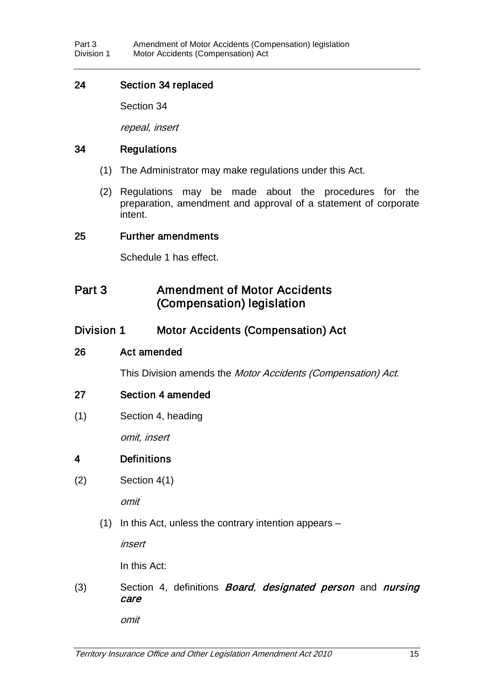### 24 Section 34 replaced

Section 34

repeal, insert

### 34 Regulations

- (1) The Administrator may make regulations under this Act.
- (2) Regulations may be made about the procedures for the preparation, amendment and approval of a statement of corporate intent.

### 25 Further amendments

Schedule 1 has effect.

## Part 3 **Amendment of Motor Accidents** (Compensation) legislation

## Division 1 Motor Accidents (Compensation) Act

### 26 Act amended

This Division amends the Motor Accidents (Compensation) Act.

### 27 Section 4 amended

(1) Section 4, heading

omit, insert

## 4 Definitions

(2) Section 4(1)

omit

(1) In this Act, unless the contrary intention appears –

insert

In this Act:

(3) Section 4, definitions *Board, designated person* and *nursing* care

omit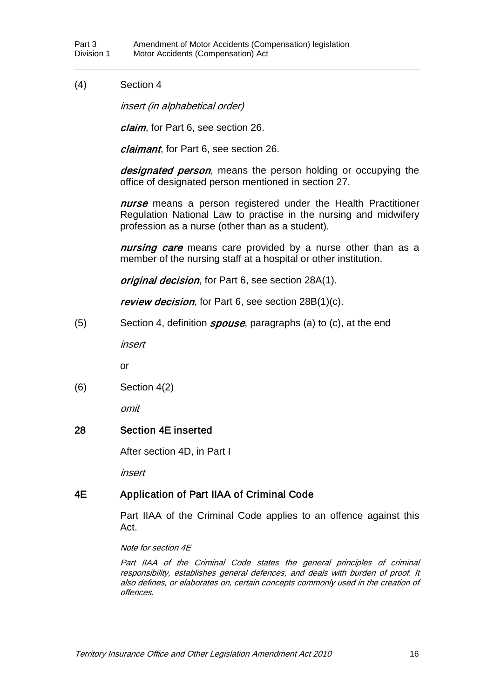#### (4) Section 4

insert (in alphabetical order)

claim, for Part 6, see section 26.

claimant, for Part 6, see section 26.

designated person, means the person holding or occupying the office of designated person mentioned in section 27.

nurse means a person registered under the Health Practitioner Regulation National Law to practise in the nursing and midwifery profession as a nurse (other than as a student).

nursing care means care provided by a nurse other than as a member of the nursing staff at a hospital or other institution.

original decision, for Part 6, see section 28A(1).

review decision, for Part 6, see section 28B(1)(c).

(5) Section 4, definition *spouse*, paragraphs (a) to (c), at the end

insert

or

(6) Section 4(2)

omit

#### 28 Section 4E inserted

After section 4D, in Part I

insert

### 4E Application of Part IIAA of Criminal Code

Part IIAA of the Criminal Code applies to an offence against this Act.

#### Note for section 4E

Part IIAA of the Criminal Code states the general principles of criminal responsibility, establishes general defences, and deals with burden of proof. It also defines, or elaborates on, certain concepts commonly used in the creation of offences.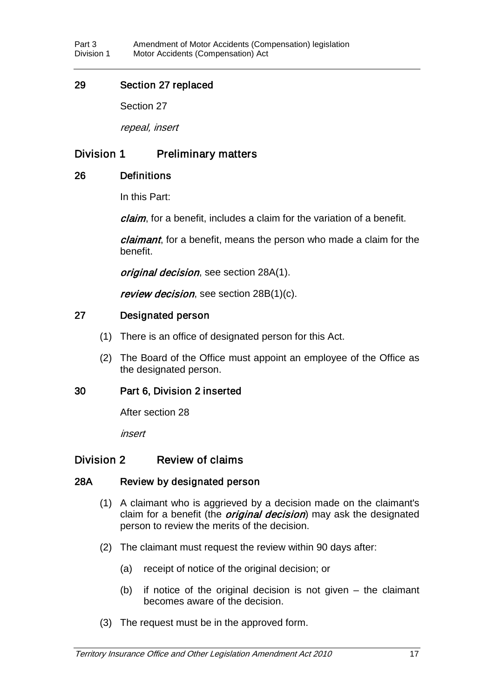### 29 Section 27 replaced

Section 27

repeal, insert

## Division 1 Preliminary matters

### 26 Definitions

In this Part:

claim, for a benefit, includes a claim for the variation of a benefit.

claimant, for a benefit, means the person who made a claim for the benefit.

original decision, see section 28A(1).

review decision, see section 28B(1)(c).

### 27 Designated person

- (1) There is an office of designated person for this Act.
- (2) The Board of the Office must appoint an employee of the Office as the designated person.

### 30 Part 6, Division 2 inserted

After section 28

insert

### Division 2 Review of claims

### 28A Review by designated person

- (1) A claimant who is aggrieved by a decision made on the claimant's claim for a benefit (the *original decision*) may ask the designated person to review the merits of the decision.
- (2) The claimant must request the review within 90 days after:
	- (a) receipt of notice of the original decision; or
	- (b) if notice of the original decision is not given the claimant becomes aware of the decision.
- (3) The request must be in the approved form.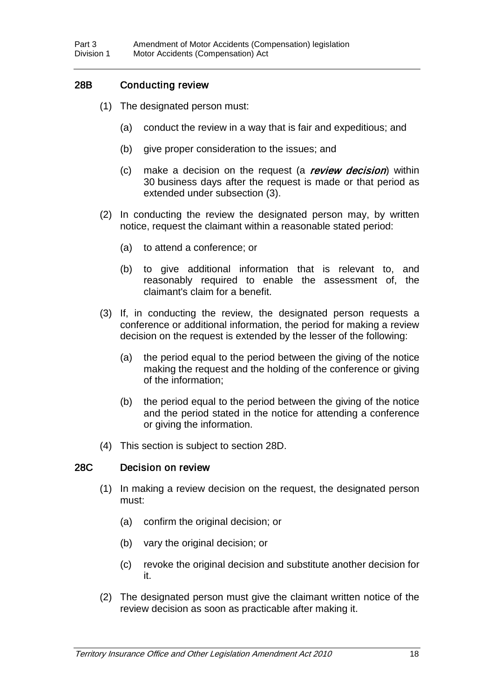## 28B Conducting review

- (1) The designated person must:
	- (a) conduct the review in a way that is fair and expeditious; and
	- (b) give proper consideration to the issues; and
	- (c) make a decision on the request (a review decision) within 30 business days after the request is made or that period as extended under subsection (3).
- (2) In conducting the review the designated person may, by written notice, request the claimant within a reasonable stated period:
	- (a) to attend a conference; or
	- (b) to give additional information that is relevant to, and reasonably required to enable the assessment of, the claimant's claim for a benefit.
- (3) If, in conducting the review, the designated person requests a conference or additional information, the period for making a review decision on the request is extended by the lesser of the following:
	- (a) the period equal to the period between the giving of the notice making the request and the holding of the conference or giving of the information;
	- (b) the period equal to the period between the giving of the notice and the period stated in the notice for attending a conference or giving the information.
- (4) This section is subject to section 28D.

#### 28C Decision on review

- (1) In making a review decision on the request, the designated person must:
	- (a) confirm the original decision; or
	- (b) vary the original decision; or
	- (c) revoke the original decision and substitute another decision for it.
- (2) The designated person must give the claimant written notice of the review decision as soon as practicable after making it.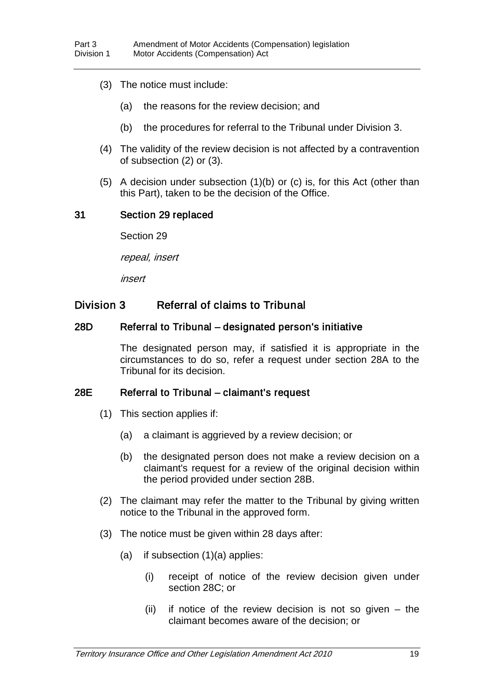- (3) The notice must include:
	- (a) the reasons for the review decision; and
	- (b) the procedures for referral to the Tribunal under Division 3.
- (4) The validity of the review decision is not affected by a contravention of subsection (2) or (3).
- (5) A decision under subsection (1)(b) or (c) is, for this Act (other than this Part), taken to be the decision of the Office.

#### 31 Section 29 replaced

Section 29

repeal, insert

insert

## Division 3 Referral of claims to Tribunal

#### 28D Referral to Tribunal – designated person's initiative

The designated person may, if satisfied it is appropriate in the circumstances to do so, refer a request under section 28A to the Tribunal for its decision.

#### 28E Referral to Tribunal – claimant's request

- (1) This section applies if:
	- (a) a claimant is aggrieved by a review decision; or
	- (b) the designated person does not make a review decision on a claimant's request for a review of the original decision within the period provided under section 28B.
- (2) The claimant may refer the matter to the Tribunal by giving written notice to the Tribunal in the approved form.
- (3) The notice must be given within 28 days after:
	- (a) if subsection (1)(a) applies:
		- (i) receipt of notice of the review decision given under section 28C; or
		- (ii) if notice of the review decision is not so given the claimant becomes aware of the decision; or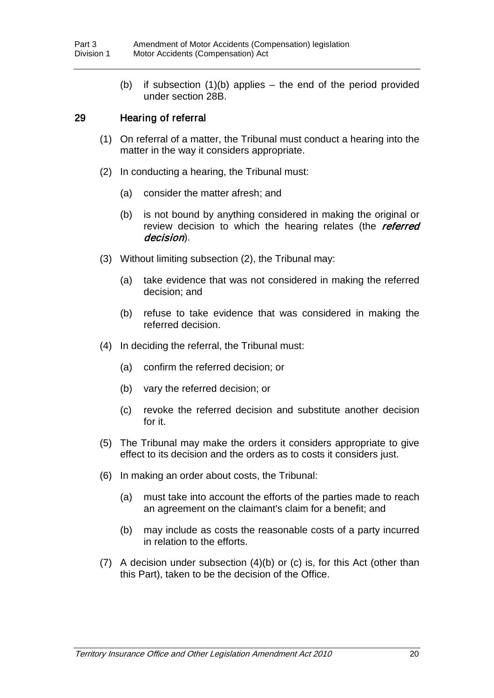(b) if subsection (1)(b) applies – the end of the period provided under section 28B.

### 29 Hearing of referral

- (1) On referral of a matter, the Tribunal must conduct a hearing into the matter in the way it considers appropriate.
- (2) In conducting a hearing, the Tribunal must:
	- (a) consider the matter afresh; and
	- (b) is not bound by anything considered in making the original or review decision to which the hearing relates (the referred decision).
- (3) Without limiting subsection (2), the Tribunal may:
	- (a) take evidence that was not considered in making the referred decision; and
	- (b) refuse to take evidence that was considered in making the referred decision.
- (4) In deciding the referral, the Tribunal must:
	- (a) confirm the referred decision; or
	- (b) vary the referred decision; or
	- (c) revoke the referred decision and substitute another decision for it.
- (5) The Tribunal may make the orders it considers appropriate to give effect to its decision and the orders as to costs it considers just.
- (6) In making an order about costs, the Tribunal:
	- (a) must take into account the efforts of the parties made to reach an agreement on the claimant's claim for a benefit; and
	- (b) may include as costs the reasonable costs of a party incurred in relation to the efforts.
- (7) A decision under subsection (4)(b) or (c) is, for this Act (other than this Part), taken to be the decision of the Office.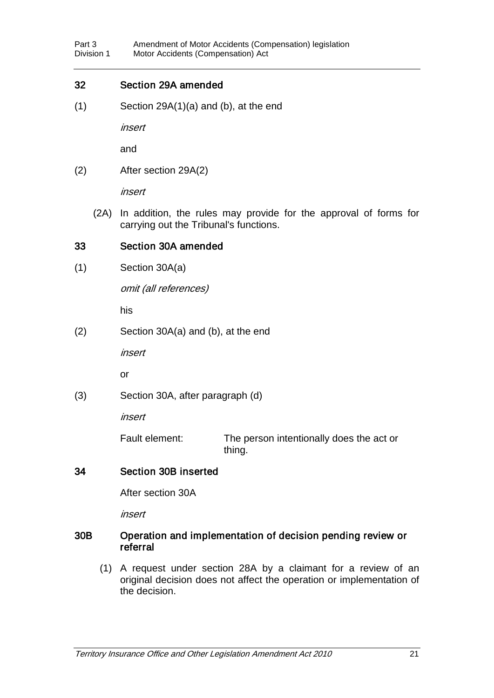#### 32 Section 29A amended

(1) Section 29A(1)(a) and (b), at the end

insert

and

(2) After section 29A(2)

insert

(2A) In addition, the rules may provide for the approval of forms for carrying out the Tribunal's functions.

#### 33 Section 30A amended

(1) Section 30A(a)

omit (all references)

his

(2) Section 30A(a) and (b), at the end

insert

or

(3) Section 30A, after paragraph (d)

insert

Fault element: The person intentionally does the act or thing.

### 34 Section 30B inserted

After section 30A

insert

#### 30B Operation and implementation of decision pending review or referral

(1) A request under section 28A by a claimant for a review of an original decision does not affect the operation or implementation of the decision.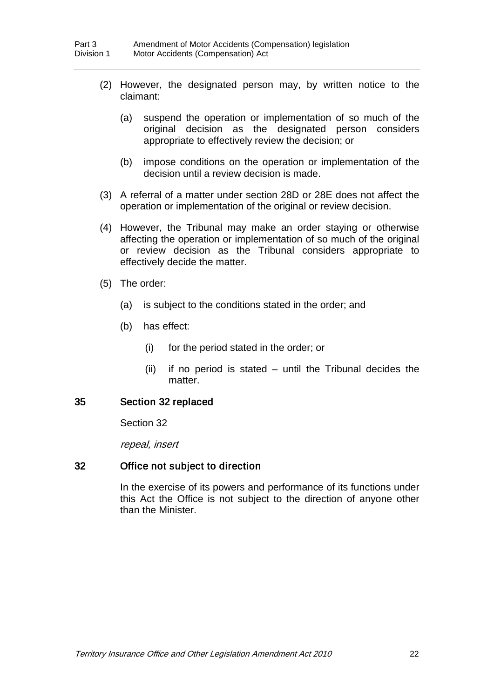- (2) However, the designated person may, by written notice to the claimant:
	- (a) suspend the operation or implementation of so much of the original decision as the designated person considers appropriate to effectively review the decision; or
	- (b) impose conditions on the operation or implementation of the decision until a review decision is made.
- (3) A referral of a matter under section 28D or 28E does not affect the operation or implementation of the original or review decision.
- (4) However, the Tribunal may make an order staying or otherwise affecting the operation or implementation of so much of the original or review decision as the Tribunal considers appropriate to effectively decide the matter.
- (5) The order:
	- (a) is subject to the conditions stated in the order; and
	- (b) has effect:
		- (i) for the period stated in the order; or
		- (ii) if no period is stated until the Tribunal decides the matter.

#### 35 Section 32 replaced

Section 32

repeal, insert

#### 32 Office not subject to direction

In the exercise of its powers and performance of its functions under this Act the Office is not subject to the direction of anyone other than the Minister.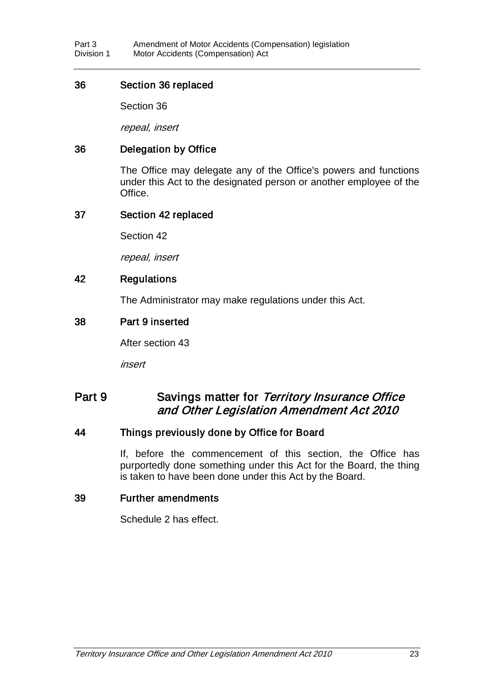#### 36 Section 36 replaced

Section 36

repeal, insert

## 36 Delegation by Office

The Office may delegate any of the Office's powers and functions under this Act to the designated person or another employee of the Office.

#### 37 Section 42 replaced

Section 42

repeal, insert

### 42 Regulations

The Administrator may make regulations under this Act.

### 38 Part 9 inserted

After section 43

insert

## Part 9 Savings matter for Territory Insurance Office and Other Legislation Amendment Act 2010

### 44 Things previously done by Office for Board

If, before the commencement of this section, the Office has purportedly done something under this Act for the Board, the thing is taken to have been done under this Act by the Board.

#### 39 Further amendments

Schedule 2 has effect.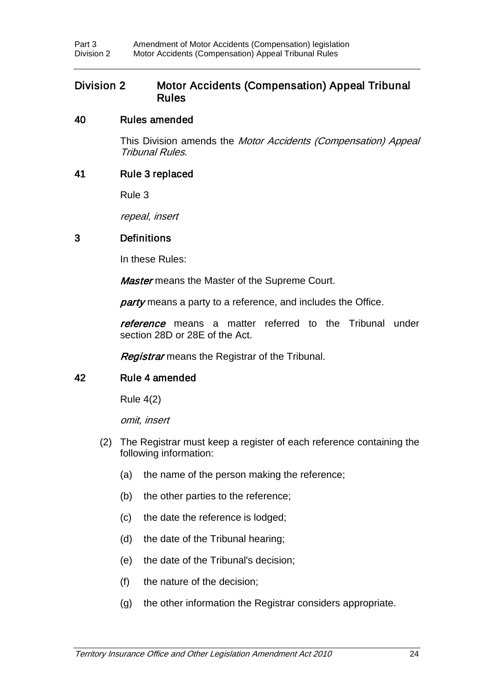### Division 2 Motor Accidents (Compensation) Appeal Tribunal Rules

#### 40 Rules amended

This Division amends the Motor Accidents (Compensation) Appeal Tribunal Rules.

#### 41 Rule 3 replaced

Rule 3

repeal, insert

#### 3 Definitions

In these Rules:

**Master** means the Master of the Supreme Court.

party means a party to a reference, and includes the Office.

reference means a matter referred to the Tribunal under section 28D or 28E of the Act.

**Registrar** means the Registrar of the Tribunal.

### 42 Rule 4 amended

Rule 4(2)

omit, insert

- (2) The Registrar must keep a register of each reference containing the following information:
	- (a) the name of the person making the reference;
	- (b) the other parties to the reference;
	- (c) the date the reference is lodged;
	- (d) the date of the Tribunal hearing;
	- (e) the date of the Tribunal's decision;
	- (f) the nature of the decision;
	- (g) the other information the Registrar considers appropriate.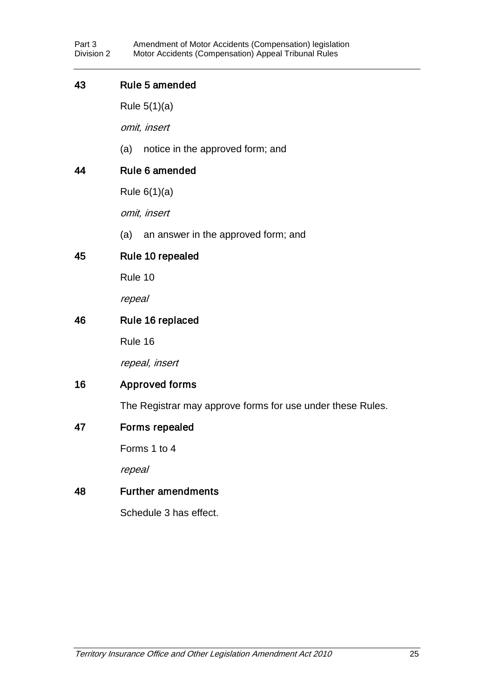### 43 Rule 5 amended

Rule 5(1)(a)

omit, insert

(a) notice in the approved form; and

## 44 Rule 6 amended

Rule 6(1)(a)

omit, insert

(a) an answer in the approved form; and

## 45 Rule 10 repealed

Rule 10

repeal

### 46 Rule 16 replaced

Rule 16

repeal, insert

## 16 Approved forms

The Registrar may approve forms for use under these Rules.

### 47 Forms repealed

Forms 1 to 4

repeal

### 48 Further amendments

Schedule 3 has effect.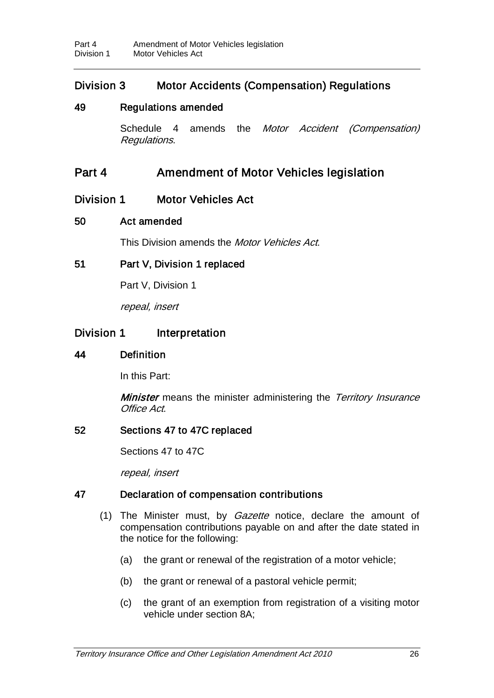## Division 3 Motor Accidents (Compensation) Regulations

### 49 Regulations amended

Schedule 4 amends the *Motor Accident (Compensation)* Regulations.

## Part 4 Amendment of Motor Vehicles legislation

## Division 1 Motor Vehicles Act

### 50 Act amended

This Division amends the *Motor Vehicles Act.* 

### 51 Part V, Division 1 replaced

Part V, Division 1

repeal, insert

## Division 1 Interpretation

#### 44 Definition

In this Part:

**Minister** means the minister administering the Territory Insurance Office Act.

#### 52 Sections 47 to 47C replaced

Sections 47 to 47C

repeal, insert

### 47 Declaration of compensation contributions

- (1) The Minister must, by *Gazette* notice, declare the amount of compensation contributions payable on and after the date stated in the notice for the following:
	- (a) the grant or renewal of the registration of a motor vehicle;
	- (b) the grant or renewal of a pastoral vehicle permit;
	- (c) the grant of an exemption from registration of a visiting motor vehicle under section 8A;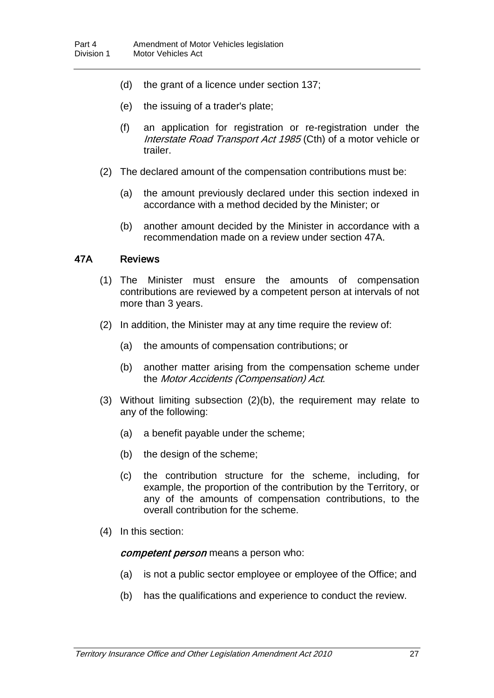- (d) the grant of a licence under section 137;
- (e) the issuing of a trader's plate;
- (f) an application for registration or re-registration under the Interstate Road Transport Act 1985 (Cth) of a motor vehicle or trailer.
- (2) The declared amount of the compensation contributions must be:
	- (a) the amount previously declared under this section indexed in accordance with a method decided by the Minister; or
	- (b) another amount decided by the Minister in accordance with a recommendation made on a review under section 47A.

#### 47A Reviews

- (1) The Minister must ensure the amounts of compensation contributions are reviewed by a competent person at intervals of not more than 3 years.
- (2) In addition, the Minister may at any time require the review of:
	- (a) the amounts of compensation contributions; or
	- (b) another matter arising from the compensation scheme under the Motor Accidents (Compensation) Act.
- (3) Without limiting subsection (2)(b), the requirement may relate to any of the following:
	- (a) a benefit payable under the scheme;
	- (b) the design of the scheme;
	- (c) the contribution structure for the scheme, including, for example, the proportion of the contribution by the Territory, or any of the amounts of compensation contributions, to the overall contribution for the scheme.
- (4) In this section:

competent person means a person who:

- (a) is not a public sector employee or employee of the Office; and
- (b) has the qualifications and experience to conduct the review.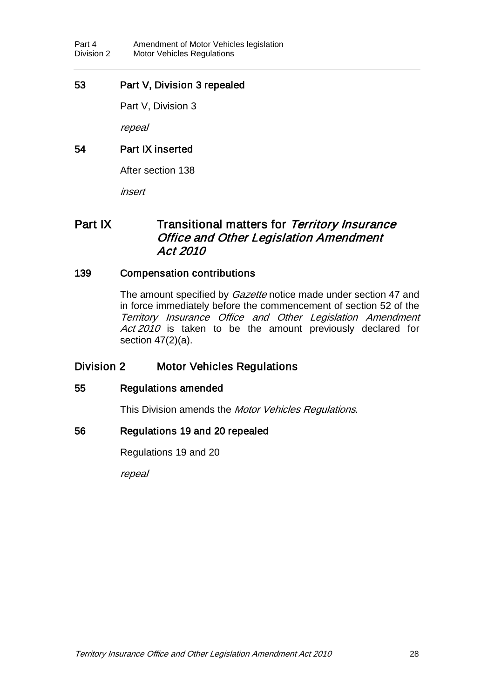### 53 Part V, Division 3 repealed

Part V, Division 3

repeal

## 54 Part IX inserted

After section 138

insert

## Part IX Transitional matters for Territory Insurance Office and Other Legislation Amendment Act 2010

### 139 Compensation contributions

The amount specified by *Gazette* notice made under section 47 and in force immediately before the commencement of section 52 of the Territory Insurance Office and Other Legislation Amendment Act 2010 is taken to be the amount previously declared for section 47(2)(a).

## Division 2 Motor Vehicles Regulations

### 55 Regulations amended

This Division amends the Motor Vehicles Regulations.

### 56 Regulations 19 and 20 repealed

Regulations 19 and 20

repeal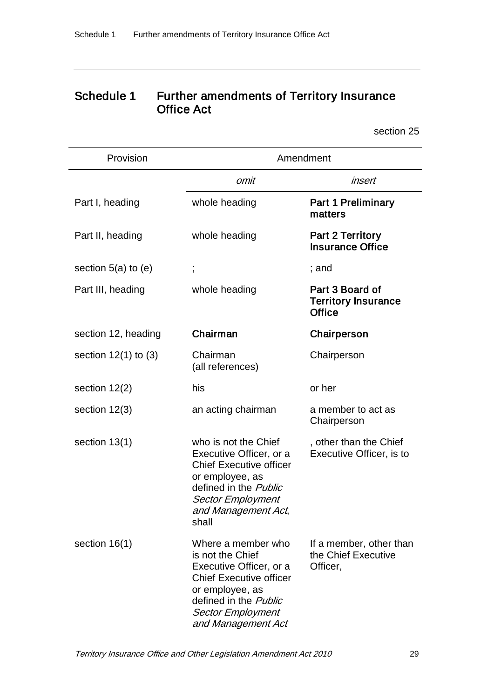# Schedule 1 Further amendments of Territory Insurance Office Act

section 25

| Provision                | Amendment                                                                                                                                                                                         |                                                                |  |
|--------------------------|---------------------------------------------------------------------------------------------------------------------------------------------------------------------------------------------------|----------------------------------------------------------------|--|
|                          | omit                                                                                                                                                                                              | insert                                                         |  |
| Part I, heading          | whole heading                                                                                                                                                                                     | <b>Part 1 Preliminary</b><br>matters                           |  |
| Part II, heading         | whole heading                                                                                                                                                                                     | <b>Part 2 Territory</b><br><b>Insurance Office</b>             |  |
| section $5(a)$ to $(e)$  |                                                                                                                                                                                                   | ; and                                                          |  |
| Part III, heading        | whole heading                                                                                                                                                                                     | Part 3 Board of<br><b>Territory Insurance</b><br><b>Office</b> |  |
| section 12, heading      | Chairman                                                                                                                                                                                          | Chairperson                                                    |  |
| section $12(1)$ to $(3)$ | Chairman<br>(all references)                                                                                                                                                                      | Chairperson                                                    |  |
| section $12(2)$          | his                                                                                                                                                                                               | or her                                                         |  |
| section 12(3)            | an acting chairman                                                                                                                                                                                | a member to act as<br>Chairperson                              |  |
| section 13(1)            | who is not the Chief<br>Executive Officer, or a<br><b>Chief Executive officer</b><br>or employee, as<br>defined in the <i>Public</i><br><b>Sector Employment</b><br>and Management Act,<br>shall  | , other than the Chief<br>Executive Officer, is to             |  |
| section 16(1)            | Where a member who<br>is not the Chief<br>Executive Officer, or a<br><b>Chief Executive officer</b><br>or employee, as<br>defined in the Public<br><b>Sector Employment</b><br>and Management Act | If a member, other than<br>the Chief Executive<br>Officer,     |  |

Territory Insurance Office and Other Legislation Amendment Act 2010 29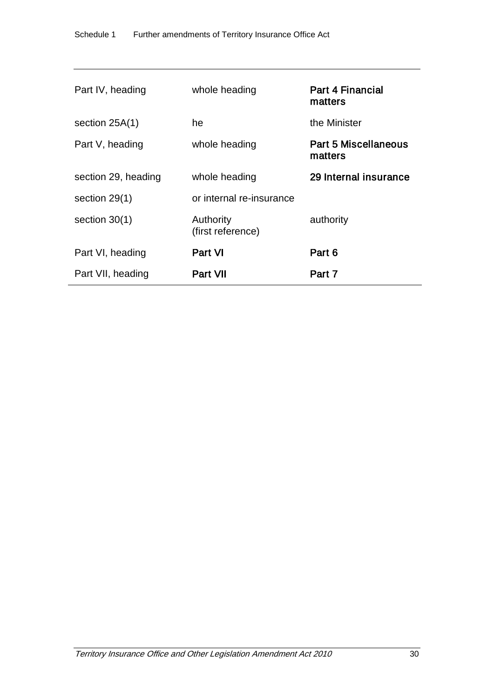| Part IV, heading    | whole heading                  | <b>Part 4 Financial</b><br>matters |
|---------------------|--------------------------------|------------------------------------|
| section $25A(1)$    | he                             | the Minister                       |
| Part V, heading     | whole heading                  | Part 5 Miscellaneous<br>matters    |
| section 29, heading | whole heading                  | 29 Internal insurance              |
| section $29(1)$     | or internal re-insurance       |                                    |
| section $30(1)$     | Authority<br>(first reference) | authority                          |
| Part VI, heading    | <b>Part VI</b>                 | Part 6                             |
| Part VII, heading   | <b>Part VII</b>                | Part 7                             |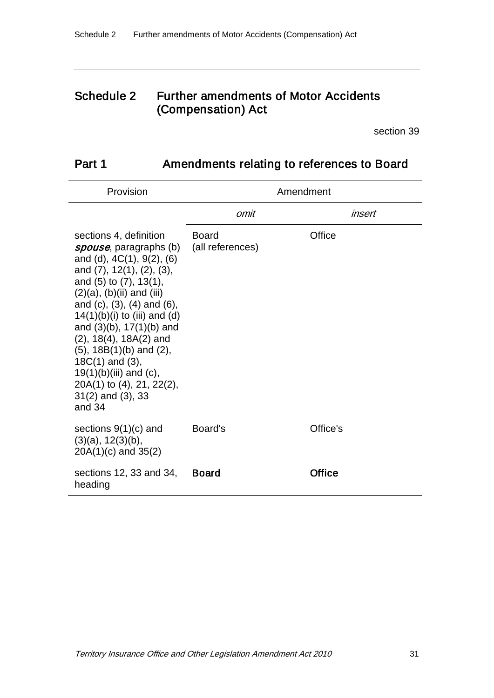## Schedule 2 Further amendments of Motor Accidents (Compensation) Act

section 39

# Part 1 Amendments relating to references to Board

| Provision                                                                                                                                                                                                                                                                                                                                                                                                                                                                                          | Amendment                        |          |  |
|----------------------------------------------------------------------------------------------------------------------------------------------------------------------------------------------------------------------------------------------------------------------------------------------------------------------------------------------------------------------------------------------------------------------------------------------------------------------------------------------------|----------------------------------|----------|--|
|                                                                                                                                                                                                                                                                                                                                                                                                                                                                                                    | omit                             | insert   |  |
| sections 4, definition<br><i>spouse</i> , paragraphs (b)<br>and (d), $4C(1)$ , $9(2)$ , $(6)$<br>and (7), 12(1), (2), (3),<br>and (5) to (7), 13(1),<br>$(2)(a)$ , $(b)(ii)$ and $(iii)$<br>and $(c)$ , $(3)$ , $(4)$ and $(6)$ ,<br>$14(1)(b)(i)$ to (iii) and (d)<br>and $(3)(b)$ , 17 $(1)(b)$ and<br>$(2)$ , 18 $(4)$ , 18 $A(2)$ and<br>$(5)$ , 18B $(1)(b)$ and $(2)$ ,<br>$18C(1)$ and $(3)$ ,<br>$19(1)(b)(iii)$ and (c),<br>20A(1) to (4), 21, 22(2),<br>$31(2)$ and $(3)$ , 33<br>and 34 | <b>Board</b><br>(all references) | Office   |  |
| sections $9(1)(c)$ and<br>$(3)(a)$ , $12(3)(b)$ ,<br>$20A(1)(c)$ and $35(2)$                                                                                                                                                                                                                                                                                                                                                                                                                       | Board's                          | Office's |  |
| sections 12, 33 and 34,<br>heading                                                                                                                                                                                                                                                                                                                                                                                                                                                                 | <b>Board</b>                     | Office   |  |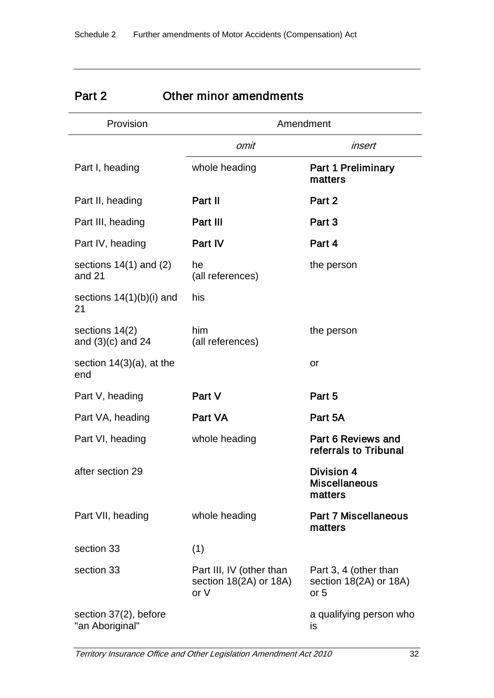| <b>Γαιι Ζ</b>                            | OUIGI IIIIIIUI AIIIGIIUIIIGIIIS                            |                                                         |  |
|------------------------------------------|------------------------------------------------------------|---------------------------------------------------------|--|
| Provision                                | Amendment                                                  |                                                         |  |
|                                          | omit                                                       | insert                                                  |  |
| Part I, heading                          | whole heading                                              | <b>Part 1 Preliminary</b><br>matters                    |  |
| Part II, heading                         | Part II                                                    | Part 2                                                  |  |
| Part III, heading                        | Part III                                                   | Part 3                                                  |  |
| Part IV, heading                         | Part IV                                                    | Part 4                                                  |  |
| sections $14(1)$ and $(2)$<br>and 21     | he<br>(all references)                                     | the person                                              |  |
| sections $14(1)(b)(i)$ and<br>21         | his                                                        |                                                         |  |
| sections 14(2)<br>and $(3)(c)$ and 24    | him<br>(all references)                                    | the person                                              |  |
| section $14(3)(a)$ , at the<br>end       |                                                            | or                                                      |  |
| Part V, heading                          | Part V                                                     | Part 5                                                  |  |
| Part VA, heading                         | Part VA                                                    | Part 5A                                                 |  |
| Part VI, heading                         | whole heading                                              | Part 6 Reviews and<br>referrals to Tribunal             |  |
| after section 29                         |                                                            | Division 4<br><b>Miscellaneous</b><br>matters           |  |
| Part VII, heading                        | whole heading                                              | <b>Part 7 Miscellaneous</b><br>matters                  |  |
| section 33                               | (1)                                                        |                                                         |  |
| section 33                               | Part III, IV (other than<br>section 18(2A) or 18A)<br>or V | Part 3, 4 (other than<br>section 18(2A) or 18A)<br>or 5 |  |
| section 37(2), before<br>"an Aboriginal" |                                                            | a qualifying person who<br>is                           |  |

## Part 2 Other minor amendments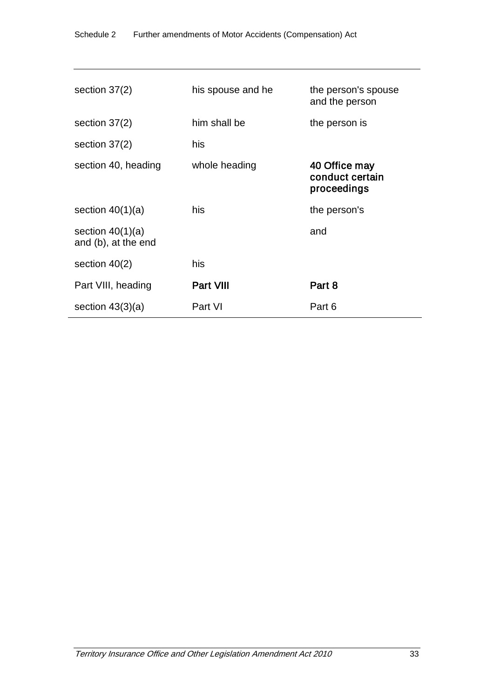| section $37(2)$                           | his spouse and he | the person's spouse<br>and the person           |
|-------------------------------------------|-------------------|-------------------------------------------------|
| section $37(2)$                           | him shall be      | the person is                                   |
| section $37(2)$                           | his               |                                                 |
| section 40, heading                       | whole heading     | 40 Office may<br>conduct certain<br>proceedings |
| section $40(1)(a)$                        | his               | the person's                                    |
| section $40(1)(a)$<br>and (b), at the end |                   | and                                             |
| section $40(2)$                           | his               |                                                 |
| Part VIII, heading                        | Part VIII         | Part 8                                          |
| section $43(3)(a)$                        | Part VI           | Part 6                                          |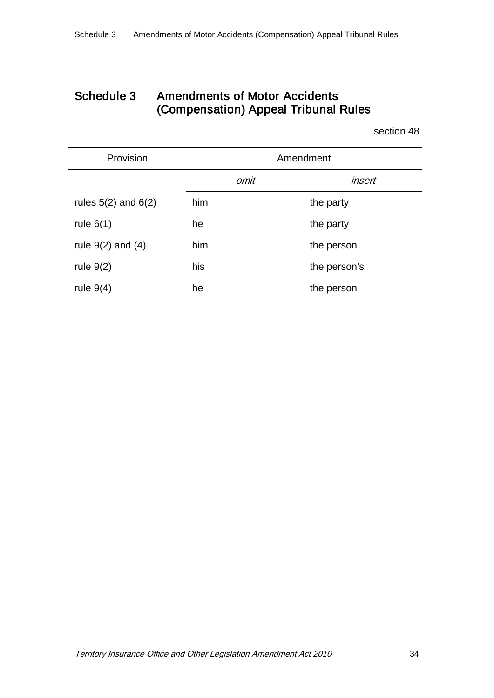# Schedule 3 Amendments of Motor Accidents (Compensation) Appeal Tribunal Rules

section 48

| Provision               |     |      | Amendment    |
|-------------------------|-----|------|--------------|
|                         |     | omit | insert       |
| rules $5(2)$ and $6(2)$ | him |      | the party    |
| rule $6(1)$             | he  |      | the party    |
| rule $9(2)$ and $(4)$   | him |      | the person   |
| rule $9(2)$             | his |      | the person's |
| rule $9(4)$             | he  |      | the person   |